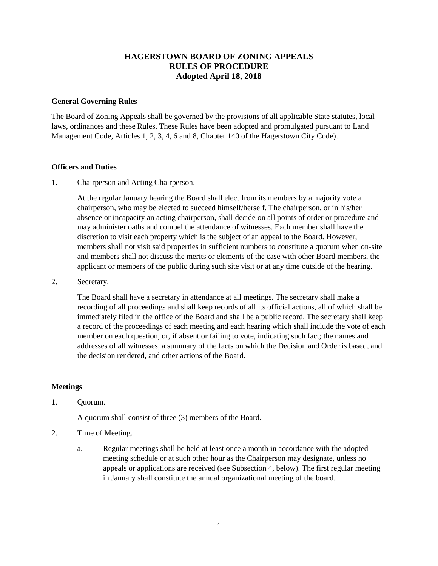# **HAGERSTOWN BOARD OF ZONING APPEALS RULES OF PROCEDURE Adopted April 18, 2018**

#### **General Governing Rules**

The Board of Zoning Appeals shall be governed by the provisions of all applicable State statutes, local laws, ordinances and these Rules. These Rules have been adopted and promulgated pursuant to Land Management Code, Articles 1, 2, 3, 4, 6 and 8, Chapter 140 of the Hagerstown City Code).

#### **Officers and Duties**

1. Chairperson and Acting Chairperson.

At the regular January hearing the Board shall elect from its members by a majority vote a chairperson, who may be elected to succeed himself/herself. The chairperson, or in his/her absence or incapacity an acting chairperson, shall decide on all points of order or procedure and may administer oaths and compel the attendance of witnesses. Each member shall have the discretion to visit each property which is the subject of an appeal to the Board. However, members shall not visit said properties in sufficient numbers to constitute a quorum when on-site and members shall not discuss the merits or elements of the case with other Board members, the applicant or members of the public during such site visit or at any time outside of the hearing.

2. Secretary.

The Board shall have a secretary in attendance at all meetings. The secretary shall make a recording of all proceedings and shall keep records of all its official actions, all of which shall be immediately filed in the office of the Board and shall be a public record. The secretary shall keep a record of the proceedings of each meeting and each hearing which shall include the vote of each member on each question, or, if absent or failing to vote, indicating such fact; the names and addresses of all witnesses, a summary of the facts on which the Decision and Order is based, and the decision rendered, and other actions of the Board.

# **Meetings**

# 1. Quorum.

A quorum shall consist of three (3) members of the Board.

- 2. Time of Meeting.
	- a. Regular meetings shall be held at least once a month in accordance with the adopted meeting schedule or at such other hour as the Chairperson may designate, unless no appeals or applications are received (see Subsection 4, below). The first regular meeting in January shall constitute the annual organizational meeting of the board.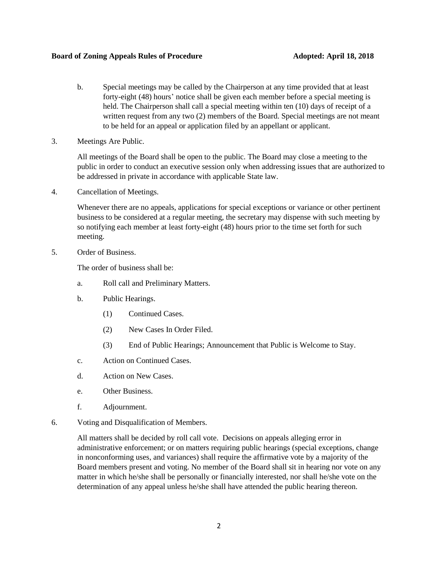#### **Board of Zoning Appeals Rules of Procedure Adopted: April 18, 2018**

- b. Special meetings may be called by the Chairperson at any time provided that at least forty-eight (48) hours' notice shall be given each member before a special meeting is held. The Chairperson shall call a special meeting within ten (10) days of receipt of a written request from any two (2) members of the Board. Special meetings are not meant to be held for an appeal or application filed by an appellant or applicant.
- 3. Meetings Are Public.

All meetings of the Board shall be open to the public. The Board may close a meeting to the public in order to conduct an executive session only when addressing issues that are authorized to be addressed in private in accordance with applicable State law.

4. Cancellation of Meetings.

Whenever there are no appeals, applications for special exceptions or variance or other pertinent business to be considered at a regular meeting, the secretary may dispense with such meeting by so notifying each member at least forty-eight (48) hours prior to the time set forth for such meeting.

5. Order of Business.

The order of business shall be:

- a. Roll call and Preliminary Matters.
- b. Public Hearings.
	- (1) Continued Cases.
	- (2) New Cases In Order Filed.
	- (3) End of Public Hearings; Announcement that Public is Welcome to Stay.
- c. Action on Continued Cases.
- d. Action on New Cases.
- e. Other Business.
- f. Adjournment.
- 6. Voting and Disqualification of Members.

All matters shall be decided by roll call vote. Decisions on appeals alleging error in administrative enforcement; or on matters requiring public hearings (special exceptions, change in nonconforming uses, and variances) shall require the affirmative vote by a majority of the Board members present and voting. No member of the Board shall sit in hearing nor vote on any matter in which he/she shall be personally or financially interested, nor shall he/she vote on the determination of any appeal unless he/she shall have attended the public hearing thereon.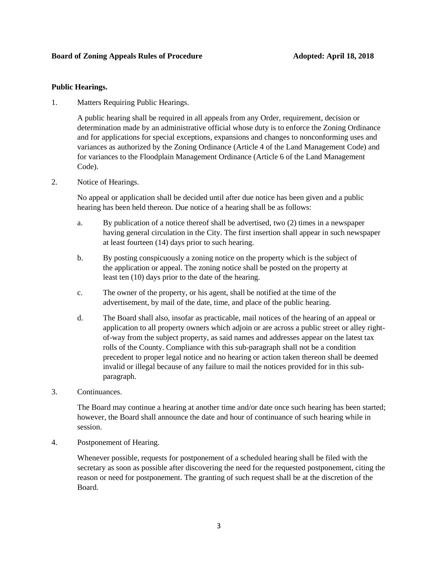# **Public Hearings.**

1. Matters Requiring Public Hearings.

A public hearing shall be required in all appeals from any Order, requirement, decision or determination made by an administrative official whose duty is to enforce the Zoning Ordinance and for applications for special exceptions, expansions and changes to nonconforming uses and variances as authorized by the Zoning Ordinance (Article 4 of the Land Management Code) and for variances to the Floodplain Management Ordinance (Article 6 of the Land Management Code).

2. Notice of Hearings.

No appeal or application shall be decided until after due notice has been given and a public hearing has been held thereon. Due notice of a hearing shall be as follows:

- a. By publication of a notice thereof shall be advertised, two (2) times in a newspaper having general circulation in the City. The first insertion shall appear in such newspaper at least fourteen (14) days prior to such hearing.
- b. By posting conspicuously a zoning notice on the property which is the subject of the application or appeal. The zoning notice shall be posted on the property at least ten (10) days prior to the date of the hearing.
- c. The owner of the property, or his agent, shall be notified at the time of the advertisement, by mail of the date, time, and place of the public hearing.
- d. The Board shall also, insofar as practicable, mail notices of the hearing of an appeal or application to all property owners which adjoin or are across a public street or alley rightof-way from the subject property, as said names and addresses appear on the latest tax rolls of the County. Compliance with this sub-paragraph shall not be a condition precedent to proper legal notice and no hearing or action taken thereon shall be deemed invalid or illegal because of any failure to mail the notices provided for in this subparagraph.
- 3. Continuances.

The Board may continue a hearing at another time and/or date once such hearing has been started; however, the Board shall announce the date and hour of continuance of such hearing while in session.

4. Postponement of Hearing.

Whenever possible, requests for postponement of a scheduled hearing shall be filed with the secretary as soon as possible after discovering the need for the requested postponement, citing the reason or need for postponement. The granting of such request shall be at the discretion of the Board.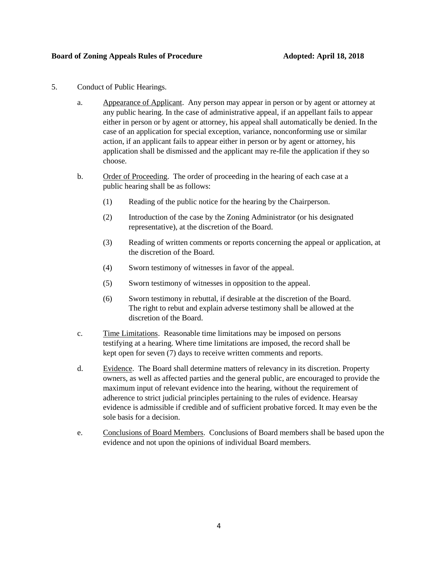#### **Board of Zoning Appeals Rules of Procedure Adopted: April 18, 2018**

- 5. Conduct of Public Hearings.
	- a. Appearance of Applicant. Any person may appear in person or by agent or attorney at any public hearing. In the case of administrative appeal, if an appellant fails to appear either in person or by agent or attorney, his appeal shall automatically be denied. In the case of an application for special exception, variance, nonconforming use or similar action, if an applicant fails to appear either in person or by agent or attorney, his application shall be dismissed and the applicant may re-file the application if they so choose.
	- b. Order of Proceeding. The order of proceeding in the hearing of each case at a public hearing shall be as follows:
		- (1) Reading of the public notice for the hearing by the Chairperson.
		- (2) Introduction of the case by the Zoning Administrator (or his designated representative), at the discretion of the Board.
		- (3) Reading of written comments or reports concerning the appeal or application, at the discretion of the Board.
		- (4) Sworn testimony of witnesses in favor of the appeal.
		- (5) Sworn testimony of witnesses in opposition to the appeal.
		- (6) Sworn testimony in rebuttal, if desirable at the discretion of the Board. The right to rebut and explain adverse testimony shall be allowed at the discretion of the Board.
	- c. Time Limitations. Reasonable time limitations may be imposed on persons testifying at a hearing. Where time limitations are imposed, the record shall be kept open for seven (7) days to receive written comments and reports.
	- d. Evidence. The Board shall determine matters of relevancy in its discretion. Property owners, as well as affected parties and the general public, are encouraged to provide the maximum input of relevant evidence into the hearing, without the requirement of adherence to strict judicial principles pertaining to the rules of evidence. Hearsay evidence is admissible if credible and of sufficient probative forced. It may even be the sole basis for a decision.
	- e. Conclusions of Board Members. Conclusions of Board members shall be based upon the evidence and not upon the opinions of individual Board members.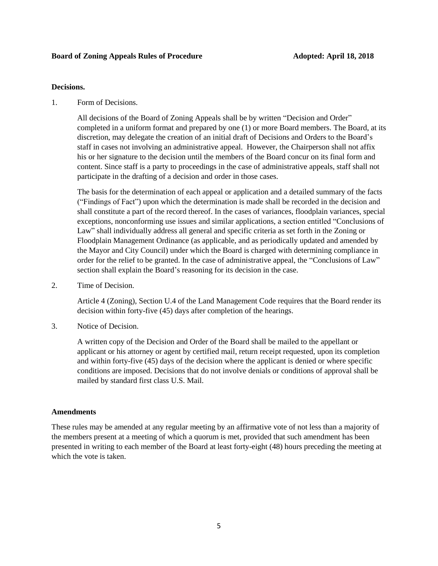#### **Board of Zoning Appeals Rules of Procedure Adopted: April 18, 2018**

#### **Decisions.**

1. Form of Decisions.

All decisions of the Board of Zoning Appeals shall be by written "Decision and Order" completed in a uniform format and prepared by one (1) or more Board members. The Board, at its discretion, may delegate the creation of an initial draft of Decisions and Orders to the Board's staff in cases not involving an administrative appeal. However, the Chairperson shall not affix his or her signature to the decision until the members of the Board concur on its final form and content. Since staff is a party to proceedings in the case of administrative appeals, staff shall not participate in the drafting of a decision and order in those cases.

The basis for the determination of each appeal or application and a detailed summary of the facts ("Findings of Fact") upon which the determination is made shall be recorded in the decision and shall constitute a part of the record thereof. In the cases of variances, floodplain variances, special exceptions, nonconforming use issues and similar applications, a section entitled "Conclusions of Law" shall individually address all general and specific criteria as set forth in the Zoning or Floodplain Management Ordinance (as applicable, and as periodically updated and amended by the Mayor and City Council) under which the Board is charged with determining compliance in order for the relief to be granted. In the case of administrative appeal, the "Conclusions of Law" section shall explain the Board's reasoning for its decision in the case.

2. Time of Decision.

Article 4 (Zoning), Section U.4 of the Land Management Code requires that the Board render its decision within forty-five (45) days after completion of the hearings.

3. Notice of Decision.

A written copy of the Decision and Order of the Board shall be mailed to the appellant or applicant or his attorney or agent by certified mail, return receipt requested, upon its completion and within forty-five (45) days of the decision where the applicant is denied or where specific conditions are imposed. Decisions that do not involve denials or conditions of approval shall be mailed by standard first class U.S. Mail.

#### **Amendments**

These rules may be amended at any regular meeting by an affirmative vote of not less than a majority of the members present at a meeting of which a quorum is met, provided that such amendment has been presented in writing to each member of the Board at least forty-eight (48) hours preceding the meeting at which the vote is taken.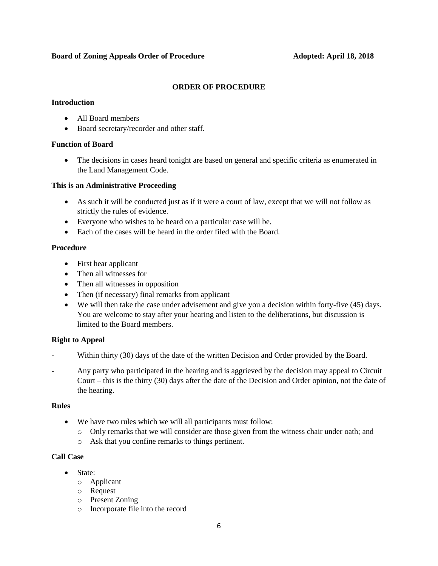#### **Board of Zoning Appeals Order of Procedure Adopted: April 18, 2018**

# **ORDER OF PROCEDURE**

#### **Introduction**

- All Board members
- Board secretary/recorder and other staff.

# **Function of Board**

 The decisions in cases heard tonight are based on general and specific criteria as enumerated in the Land Management Code.

# **This is an Administrative Proceeding**

- As such it will be conducted just as if it were a court of law, except that we will not follow as strictly the rules of evidence.
- Everyone who wishes to be heard on a particular case will be.
- Each of the cases will be heard in the order filed with the Board.

#### **Procedure**

- First hear applicant
- Then all witnesses for
- Then all witnesses in opposition
- Then (if necessary) final remarks from applicant
- We will then take the case under advisement and give you a decision within forty-five (45) days. You are welcome to stay after your hearing and listen to the deliberations, but discussion is limited to the Board members.

# **Right to Appeal**

- Within thirty (30) days of the date of the written Decision and Order provided by the Board.
- Any party who participated in the hearing and is aggrieved by the decision may appeal to Circuit Court – this is the thirty (30) days after the date of the Decision and Order opinion, not the date of the hearing.

# **Rules**

- We have two rules which we will all participants must follow:
	- o Only remarks that we will consider are those given from the witness chair under oath; and
	- o Ask that you confine remarks to things pertinent.

# **Call Case**

- State:
	- o Applicant
	- o Request
	- o Present Zoning
	- o Incorporate file into the record